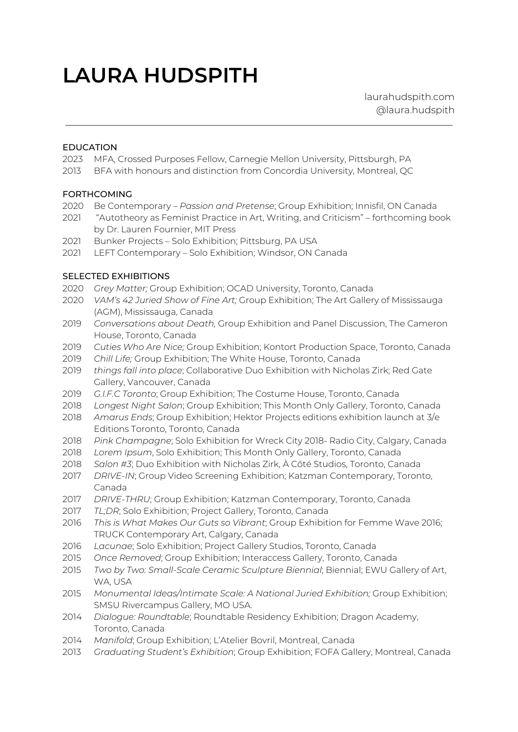# **LAURA HUDSPITH**

laurahudspith.com @laura.hudspith

#### EDUCATION

- MFA, Crossed Purposes Fellow, Carnegie Mellon University, Pittsburgh, PA
- BFA with honours and distinction from Concordia University, Montreal, QC

## FORTHCOMING

- Be Contemporary *Passion and Pretense*; Group Exhibition; Innisfil, ON Canada
- "Autotheory as Feminist Practice in Art, Writing, and Criticism" forthcoming book by Dr. Lauren Fournier, MIT Press
- Bunker Projects Solo Exhibition; Pittsburg, PA USA
- LEFT Contemporary Solo Exhibition; Windsor, ON Canada

#### SELECTED EXHIBITIONS

- *Grey Matter;* Group Exhibition; OCAD University, Toronto, Canada
- *VAM's 42 Juried Show of Fine Art;* Group Exhibition; The Art Gallery of Mississauga (AGM), Mississauga, Canada
- *Conversations about Death,* Group Exhibition and Panel Discussion, The Cameron House, Toronto, Canada
- *Cuties Who Are Nice;* Group Exhibition; Kontort Production Space, Toronto, Canada
- *Chill Life;* Group Exhibition; The White House, Toronto, Canada
- *things fall into place*; Collaborative Duo Exhibition with Nicholas Zirk; Red Gate Gallery, Vancouver, Canada
- *G.I.F.C Toronto*; Group Exhibition; The Costume House, Toronto, Canada
- *Longest Night Salon*; Group Exhibition; This Month Only Gallery, Toronto, Canada
- *Amarus Ends*; Group Exhibition; Hektor Projects editions exhibition launch at 3/e Editions Toronto, Toronto, Canada
- *Pink Champagne*; Solo Exhibition for Wreck City 2018- Radio City, Calgary, Canada
- *Lorem Ipsum*, Solo Exhibition; This Month Only Gallery, Toronto, Canada
- *Salon #3*; Duo Exhibition with Nicholas Zirk, À Côté Studios, Toronto, Canada
- *DRIVE-IN*; Group Video Screening Exhibition; Katzman Contemporary, Toronto, Canada
- *DRIVE-THRU*; Group Exhibition; Katzman Contemporary, Toronto, Canada
- *TL;DR*; Solo Exhibition; Project Gallery, Toronto, Canada
- *This is What Makes Our Guts so Vibrant*; Group Exhibition for Femme Wave 2016; TRUCK Contemporary Art, Calgary, Canada
- *Lacunae*; Solo Exhibition; Project Gallery Studios, Toronto, Canada
- *Once Removed*; Group Exhibition; Interaccess Gallery, Toronto, Canada
- *Two by Two: Small-Scale Ceramic Sculpture Biennial*; Biennial; EWU Gallery of Art, WA, USA
- *Monumental Ideas/Intimate Scale: A National Juried Exhibition;* Group Exhibition; SMSU Rivercampus Gallery, MO USA.
- *Dialogue: Roundtable*; Roundtable Residency Exhibition; Dragon Academy, Toronto, Canada
- *Manifold*; Group Exhibition; L'Atelier Bovril, Montreal, Canada
- *Graduating Student's Exhibition*; Group Exhibition; FOFA Gallery, Montreal, Canada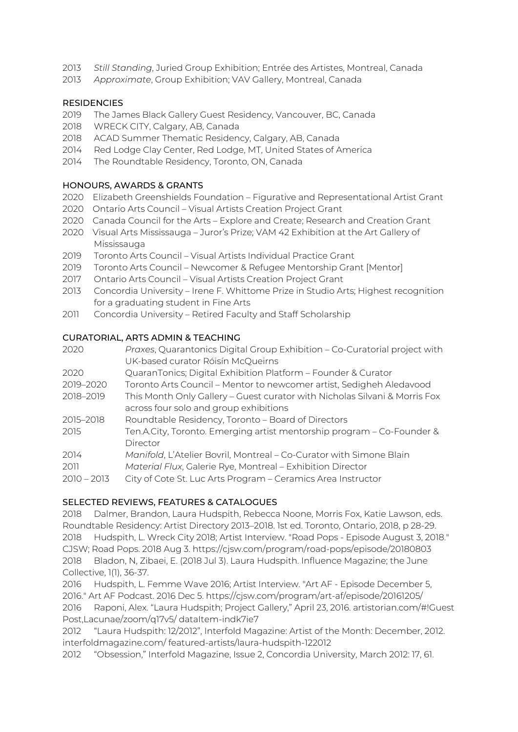- 2013 *Still Standing*, Juried Group Exhibition; Entrée des Artistes, Montreal, Canada
- 2013 *Approximate*, Group Exhibition; VAV Gallery, Montreal, Canada

# **RESIDENCIES**

- 2019 The James Black Gallery Guest Residency, Vancouver, BC, Canada
- 2018 WRECK CITY, Calgary, AB, Canada
- 2018 ACAD Summer Thematic Residency, Calgary, AB, Canada
- 2014 Red Lodge Clay Center, Red Lodge, MT, United States of America
- 2014 The Roundtable Residency, Toronto, ON, Canada

## HONOURS, AWARDS & GRANTS

- 2020 Elizabeth Greenshields Foundation Figurative and Representational Artist Grant
- 2020 Ontario Arts Council Visual Artists Creation Project Grant
- 2020 Canada Council for the Arts Explore and Create; Research and Creation Grant
- 2020 Visual Arts Mississauga Juror's Prize; VAM 42 Exhibition at the Art Gallery of Mississauga
- 2019 Toronto Arts Council Visual Artists Individual Practice Grant
- 2019 Toronto Arts Council Newcomer & Refugee Mentorship Grant [Mentor]
- 2017 Ontario Arts Council Visual Artists Creation Project Grant
- 2013 Concordia University Irene F. Whittome Prize in Studio Arts; Highest recognition for a graduating student in Fine Arts
- 2011 Concordia University Retired Faculty and Staff Scholarship

## CURATORIAL, ARTS ADMIN & TEACHING

| 2020          | Praxes, Quarantonics Digital Group Exhibition - Co-Curatorial project with |
|---------------|----------------------------------------------------------------------------|
|               | UK-based curator Róisín McQueirns                                          |
| 2020          | QuaranTonics; Digital Exhibition Platform - Founder & Curator              |
| 2019-2020     | Toronto Arts Council - Mentor to newcomer artist, Sedigheh Aledavood       |
| 2018-2019     | This Month Only Gallery - Guest curator with Nicholas Silvani & Morris Fox |
|               | across four solo and group exhibitions                                     |
| 2015-2018     | Roundtable Residency, Toronto - Board of Directors                         |
| 2015          | Ten.A.City, Toronto. Emerging artist mentorship program – Co-Founder &     |
|               | Director                                                                   |
| 2014          | Manifold, L'Atelier Bovril, Montreal – Co-Curator with Simone Blain        |
| 2011          | Material Flux, Galerie Rye, Montreal - Exhibition Director                 |
| $2010 - 2013$ | City of Cote St. Luc Arts Program - Ceramics Area Instructor               |
|               |                                                                            |

# SELECTED REVIEWS, FEATURES & CATALOGUES

2018 Dalmer, Brandon, Laura Hudspith, Rebecca Noone, Morris Fox, Katie Lawson, eds. Roundtable Residency: Artist Directory 2013–2018. 1st ed. Toronto, Ontario, 2018, p 28-29. 2018 Hudspith, L. Wreck City 2018; Artist Interview. "Road Pops - Episode August 3, 2018." CJSW; Road Pops. 2018 Aug 3. https://cjsw.com/program/road-pops/episode/20180803 2018 Bladon, N, Zibaei, E. (2018 Jul 3). Laura Hudspith. Influence Magazine; the June Collective, 1(1), 36-37.

2016 Hudspith, L. Femme Wave 2016; Artist Interview. "Art AF - Episode December 5, 2016." Art AF Podcast. 2016 Dec 5. https://cjsw.com/program/art-af/episode/20161205/ 2016 Raponi, Alex. "Laura Hudspith; Project Gallery," April 23, 2016. artistorian.com/#!Guest Post,Lacunae/zoom/q17v5/ dataItem-indk7ie7

2012 "Laura Hudspith: 12/2012", Interfold Magazine: Artist of the Month: December, 2012. interfoldmagazine.com/ featured-artists/laura-hudspith-122012

2012 "Obsession," Interfold Magazine, Issue 2, Concordia University, March 2012: 17, 61.